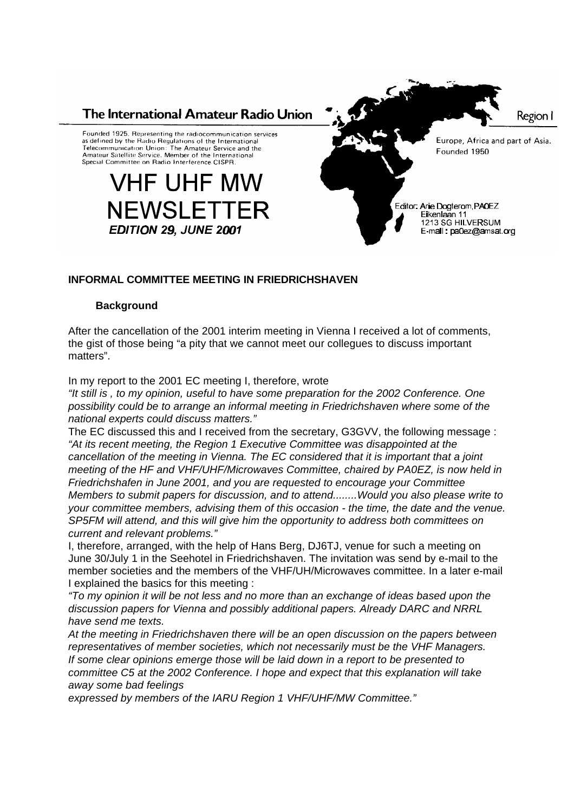

# **INFORMAL COMMITTEE MEETING IN FRIEDRICHSHAVEN**

#### **Background**

After the cancellation of the 2001 interim meeting in Vienna I received a lot of comments, the gist of those being "a pity that we cannot meet our collegues to discuss important matters".

In my report to the 2001 EC meeting I, therefore, wrote

*"It still is , to my opinion, useful to have some preparation for the 2002 Conference. One possibility could be to arrange an informal meeting in Friedrichshaven where some of the national experts could discuss matters."*

The EC discussed this and I received from the secretary, G3GVV, the following message : *"At its recent meeting, the Region 1 Executive Committee was disappointed at the cancellation of the meeting in Vienna. The EC considered that it is important that a joint meeting of the HF and VHF/UHF/Microwaves Committee, chaired by PA0EZ, is now held in Friedrichshafen in June 2001, and you are requested to encourage your Committee Members to submit papers for discussion, and to attend........Would you also please write to your committee members, advising them of this occasion - the time, the date and the venue. SP5FM will attend, and this will give him the opportunity to address both committees on current and relevant problems."* 

I, therefore, arranged, with the help of Hans Berg, DJ6TJ, venue for such a meeting on June 30/July 1 in the Seehotel in Friedrichshaven. The invitation was send by e-mail to the member societies and the members of the VHF/UH/Microwaves committee. In a later e-mail I explained the basics for this meeting :

*"To my opinion it will be not less and no more than an exchange of ideas based upon the discussion papers for Vienna and possibly additional papers. Already DARC and NRRL have send me texts.*

*At the meeting in Friedrichshaven there will be an open discussion on the papers between representatives of member societies, which not necessarily must be the VHF Managers. If some clear opinions emerge those will be laid down in a report to be presented to committee C5 at the 2002 Conference. I hope and expect that this explanation will take away some bad feelings*

*expressed by members of the IARU Region 1 VHF/UHF/MW Committee."*